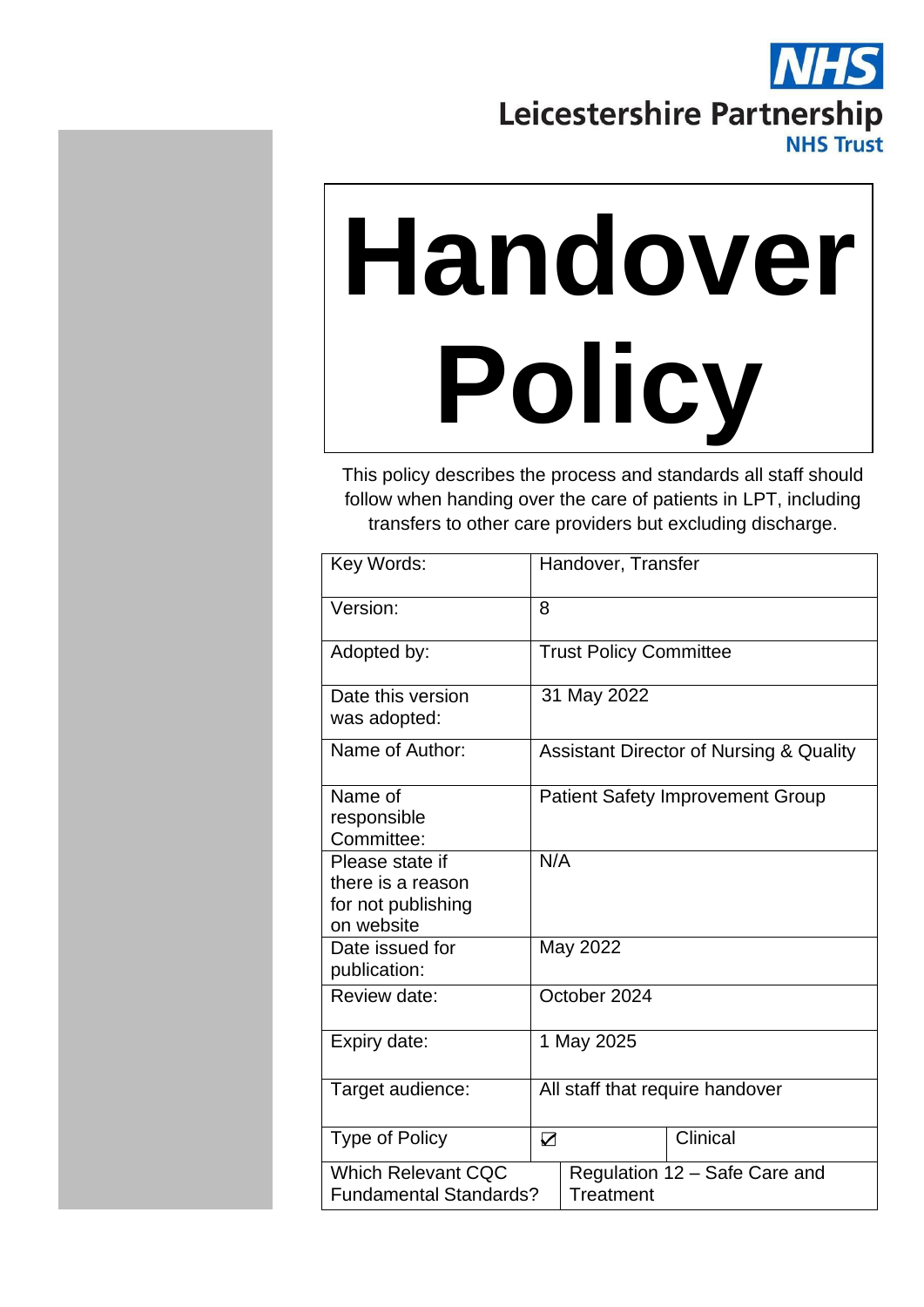# Leicestershire Partnership **NHS Trust**

# **Handover Policy**

This policy describes the process and standards all staff should follow when handing over the care of patients in LPT, including transfers to other care providers but excluding discharge.

| Key Words:<br>Handover, Transfer                                      |                                         |  |  |
|-----------------------------------------------------------------------|-----------------------------------------|--|--|
|                                                                       |                                         |  |  |
| Version:<br>8                                                         |                                         |  |  |
|                                                                       |                                         |  |  |
| Adopted by:<br><b>Trust Policy Committee</b>                          |                                         |  |  |
| 31 May 2022<br>Date this version                                      |                                         |  |  |
| was adopted:                                                          |                                         |  |  |
| Name of Author:<br><b>Assistant Director of Nursing &amp; Quality</b> |                                         |  |  |
|                                                                       |                                         |  |  |
| Name of                                                               | <b>Patient Safety Improvement Group</b> |  |  |
| responsible                                                           |                                         |  |  |
| Committee:                                                            |                                         |  |  |
| N/A<br>Please state if                                                |                                         |  |  |
| there is a reason                                                     |                                         |  |  |
| for not publishing                                                    |                                         |  |  |
| on website                                                            |                                         |  |  |
| May 2022<br>Date issued for                                           |                                         |  |  |
| publication:                                                          |                                         |  |  |
| October 2024<br>Review date:                                          |                                         |  |  |
|                                                                       |                                         |  |  |
| Expiry date:<br>1 May 2025                                            |                                         |  |  |
|                                                                       |                                         |  |  |
| All staff that require handover<br>Target audience:                   |                                         |  |  |
|                                                                       |                                         |  |  |
| Clinical<br><b>Type of Policy</b><br>$\sum$                           |                                         |  |  |
| <b>Which Relevant CQC</b><br>Regulation 12 - Safe Care and            |                                         |  |  |
| Treatment<br><b>Fundamental Standards?</b>                            |                                         |  |  |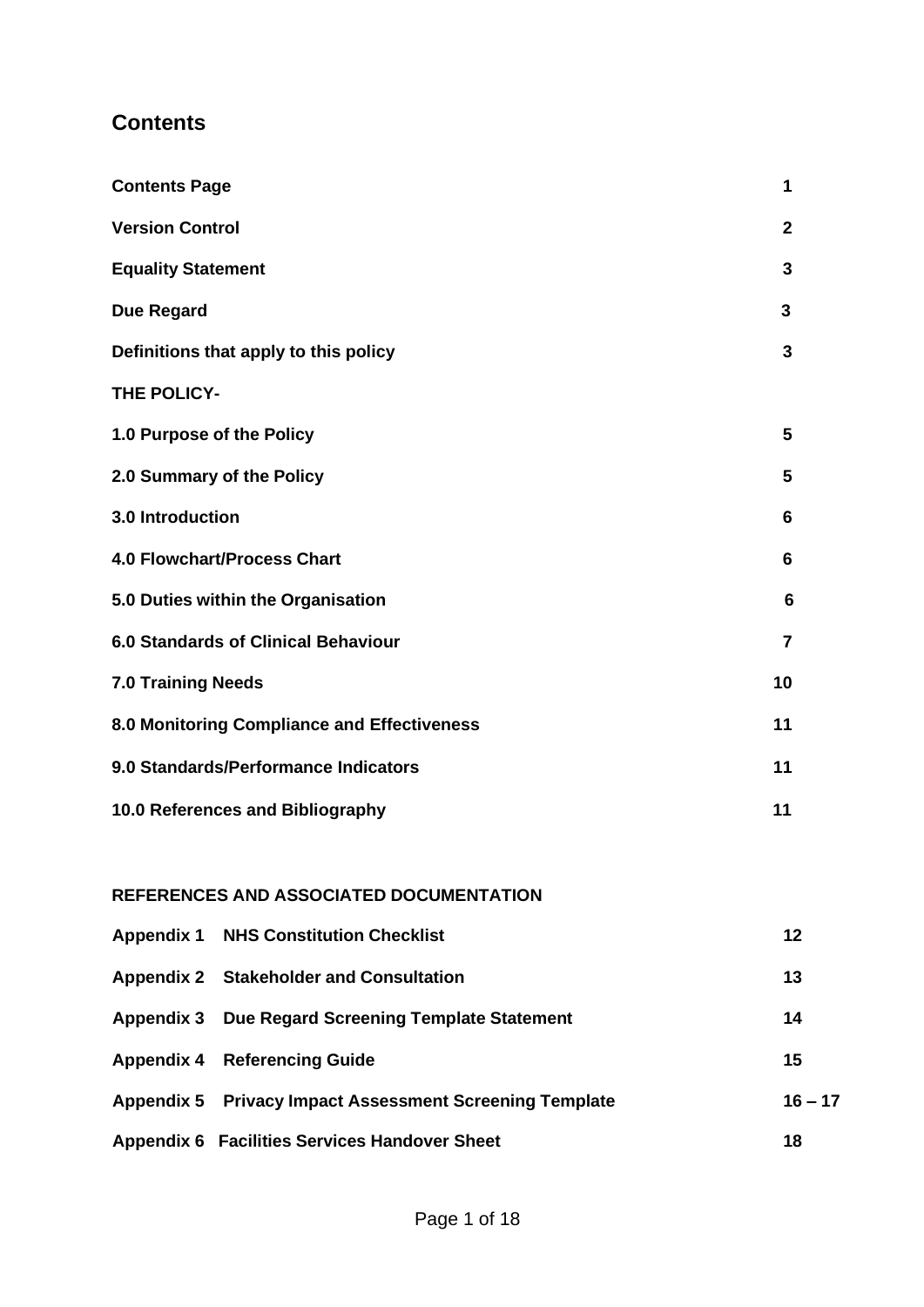# **Contents**

| 1           |
|-------------|
| $\mathbf 2$ |
| 3           |
| 3           |
| 3           |
|             |
| 5           |
| 5           |
| 6           |
| 6           |
| 6           |
| 7           |
| 10          |
| 11          |
| 11          |
| 11          |
|             |

#### **REFERENCES AND ASSOCIATED DOCUMENTATION**

| <b>Appendix 1 NHS Constitution Checklist</b>            | 12        |
|---------------------------------------------------------|-----------|
| Appendix 2 Stakeholder and Consultation                 | 13        |
| Appendix 3 Due Regard Screening Template Statement      | 14        |
| <b>Appendix 4 Referencing Guide</b>                     | 15        |
| Appendix 5 Privacy Impact Assessment Screening Template | $16 - 17$ |
| <b>Appendix 6 Facilities Services Handover Sheet</b>    | 18        |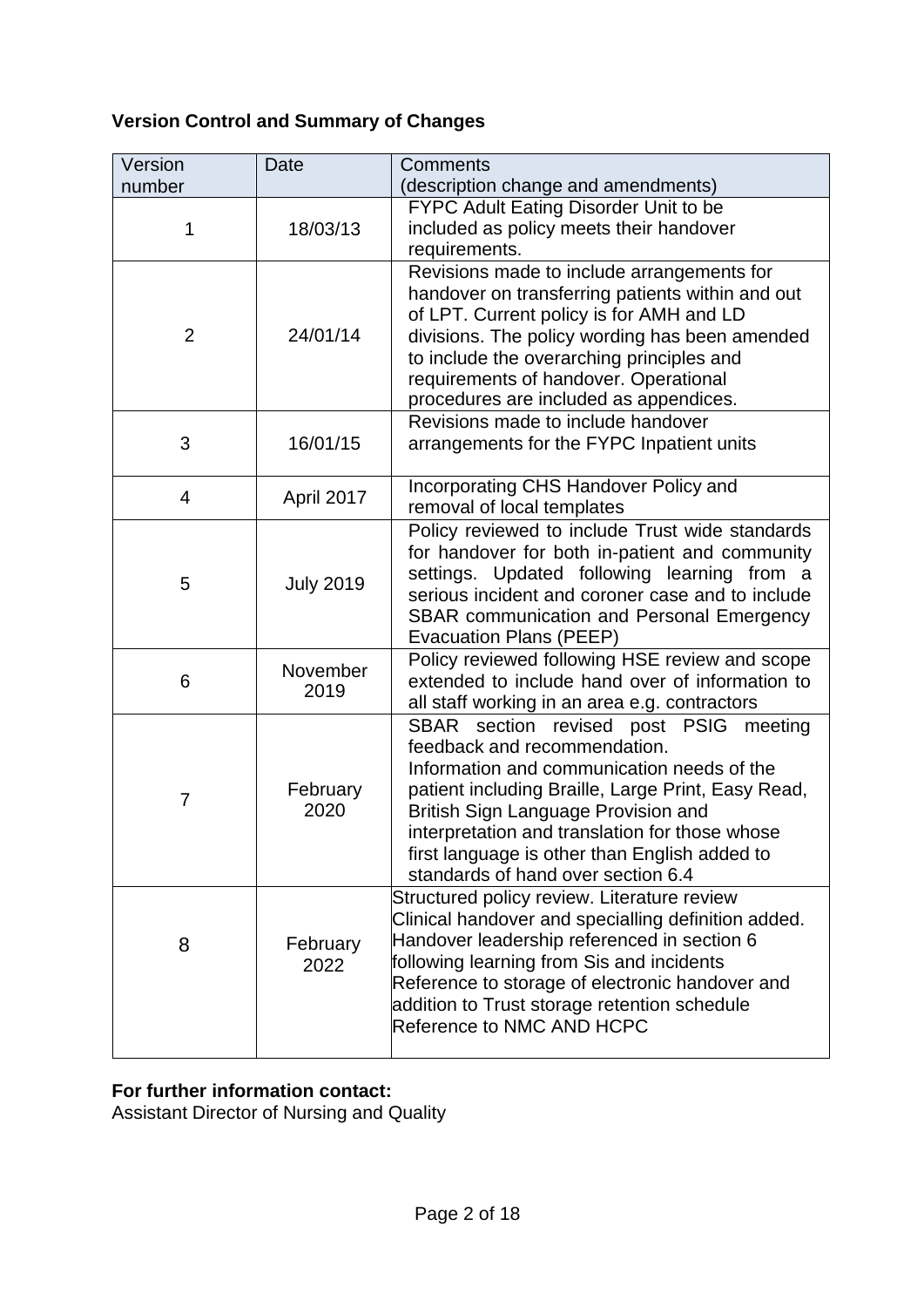# **Version Control and Summary of Changes**

| Version        | Date             | <b>Comments</b>                                                                                                                                                                                                                                                                                                                                            |
|----------------|------------------|------------------------------------------------------------------------------------------------------------------------------------------------------------------------------------------------------------------------------------------------------------------------------------------------------------------------------------------------------------|
| number         |                  | (description change and amendments)                                                                                                                                                                                                                                                                                                                        |
| 1              | 18/03/13         | FYPC Adult Eating Disorder Unit to be<br>included as policy meets their handover<br>requirements.                                                                                                                                                                                                                                                          |
| $\overline{2}$ | 24/01/14         | Revisions made to include arrangements for<br>handover on transferring patients within and out<br>of LPT. Current policy is for AMH and LD<br>divisions. The policy wording has been amended<br>to include the overarching principles and<br>requirements of handover. Operational<br>procedures are included as appendices.                               |
| 3              | 16/01/15         | Revisions made to include handover<br>arrangements for the FYPC Inpatient units                                                                                                                                                                                                                                                                            |
| 4              | April 2017       | Incorporating CHS Handover Policy and<br>removal of local templates                                                                                                                                                                                                                                                                                        |
| 5              | <b>July 2019</b> | Policy reviewed to include Trust wide standards<br>for handover for both in-patient and community<br>settings. Updated following learning from a<br>serious incident and coroner case and to include<br><b>SBAR communication and Personal Emergency</b><br>Evacuation Plans (PEEP)                                                                        |
| 6              | November<br>2019 | Policy reviewed following HSE review and scope<br>extended to include hand over of information to<br>all staff working in an area e.g. contractors                                                                                                                                                                                                         |
| 7              | February<br>2020 | SBAR section revised post PSIG meeting<br>feedback and recommendation.<br>Information and communication needs of the<br>patient including Braille, Large Print, Easy Read,<br>British Sign Language Provision and<br>interpretation and translation for those whose<br>first language is other than English added to<br>standards of hand over section 6.4 |
| 8              | February<br>2022 | Structured policy review. Literature review<br>Clinical handover and specialling definition added.<br>Handover leadership referenced in section 6<br>following learning from Sis and incidents<br>Reference to storage of electronic handover and<br>addition to Trust storage retention schedule<br>Reference to NMC AND HCPC                             |

#### **For further information contact:**

Assistant Director of Nursing and Quality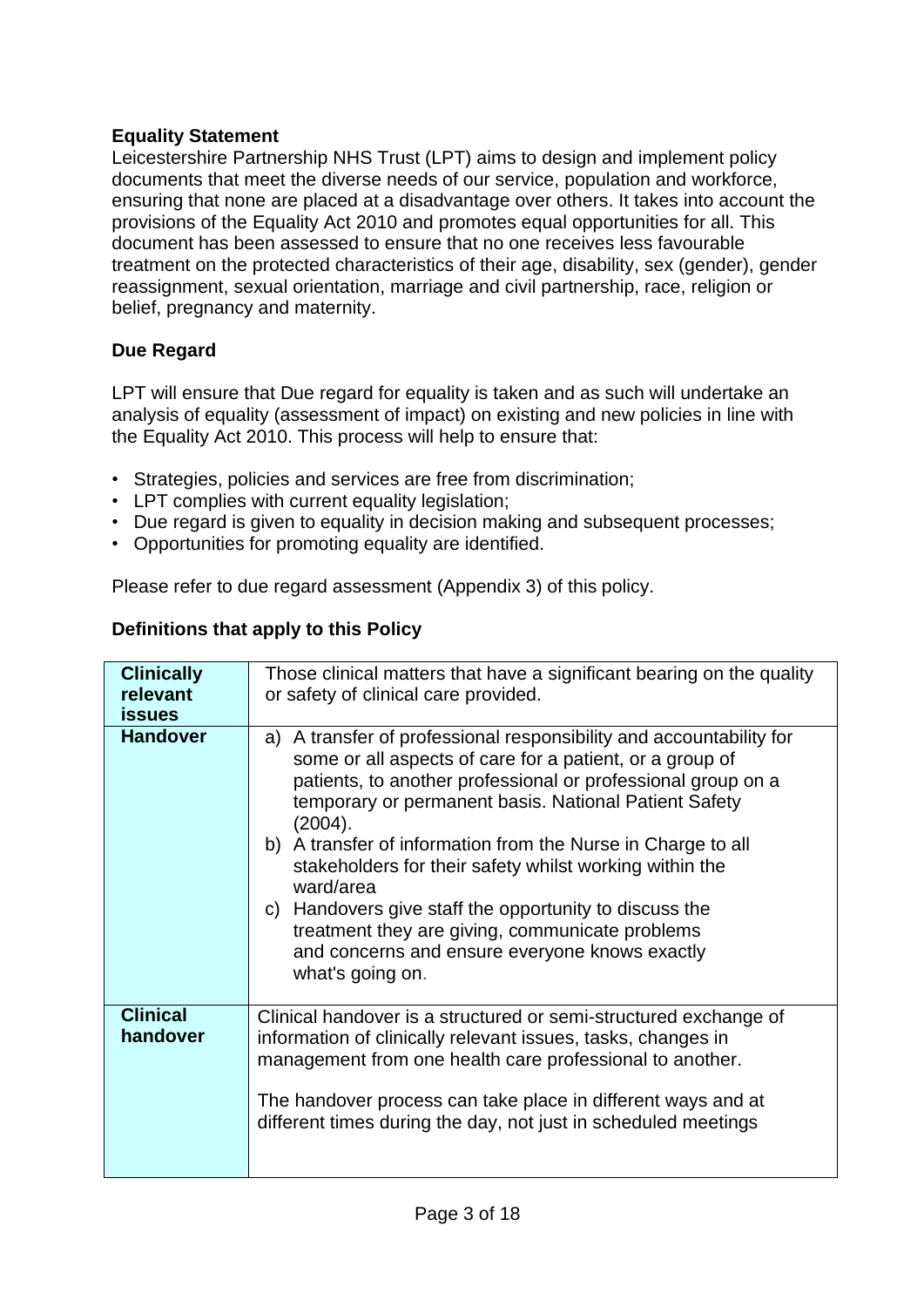#### <span id="page-3-0"></span>**Equality Statement**

Leicestershire Partnership NHS Trust (LPT) aims to design and implement policy documents that meet the diverse needs of our service, population and workforce, ensuring that none are placed at a disadvantage over others. It takes into account the provisions of the Equality Act 2010 and promotes equal opportunities for all. This document has been assessed to ensure that no one receives less favourable treatment on the protected characteristics of their age, disability, sex (gender), gender reassignment, sexual orientation, marriage and civil partnership, race, religion or belief, pregnancy and maternity.

#### <span id="page-3-1"></span>**Due Regard**

LPT will ensure that Due regard for equality is taken and as such will undertake an analysis of equality (assessment of impact) on existing and new policies in line with the Equality Act 2010. This process will help to ensure that:

- Strategies, policies and services are free from discrimination;
- LPT complies with current equality legislation;
- Due regard is given to equality in decision making and subsequent processes;
- Opportunities for promoting equality are identified.

Please refer to due regard assessment (Appendix 3) of this policy.

#### <span id="page-3-2"></span>**Definitions that apply to this Policy**

| <b>Clinically</b>           | Those clinical matters that have a significant bearing on the quality                                                                                                                                                                                                                                                                                                                                                                                                                                                                                                                          |
|-----------------------------|------------------------------------------------------------------------------------------------------------------------------------------------------------------------------------------------------------------------------------------------------------------------------------------------------------------------------------------------------------------------------------------------------------------------------------------------------------------------------------------------------------------------------------------------------------------------------------------------|
| relevant                    | or safety of clinical care provided.                                                                                                                                                                                                                                                                                                                                                                                                                                                                                                                                                           |
| <b>issues</b>               |                                                                                                                                                                                                                                                                                                                                                                                                                                                                                                                                                                                                |
| <b>Handover</b>             | a) A transfer of professional responsibility and accountability for<br>some or all aspects of care for a patient, or a group of<br>patients, to another professional or professional group on a<br>temporary or permanent basis. National Patient Safety<br>(2004).<br>b) A transfer of information from the Nurse in Charge to all<br>stakeholders for their safety whilst working within the<br>ward/area<br>c) Handovers give staff the opportunity to discuss the<br>treatment they are giving, communicate problems<br>and concerns and ensure everyone knows exactly<br>what's going on. |
| <b>Clinical</b><br>handover | Clinical handover is a structured or semi-structured exchange of<br>information of clinically relevant issues, tasks, changes in<br>management from one health care professional to another.<br>The handover process can take place in different ways and at<br>different times during the day, not just in scheduled meetings                                                                                                                                                                                                                                                                 |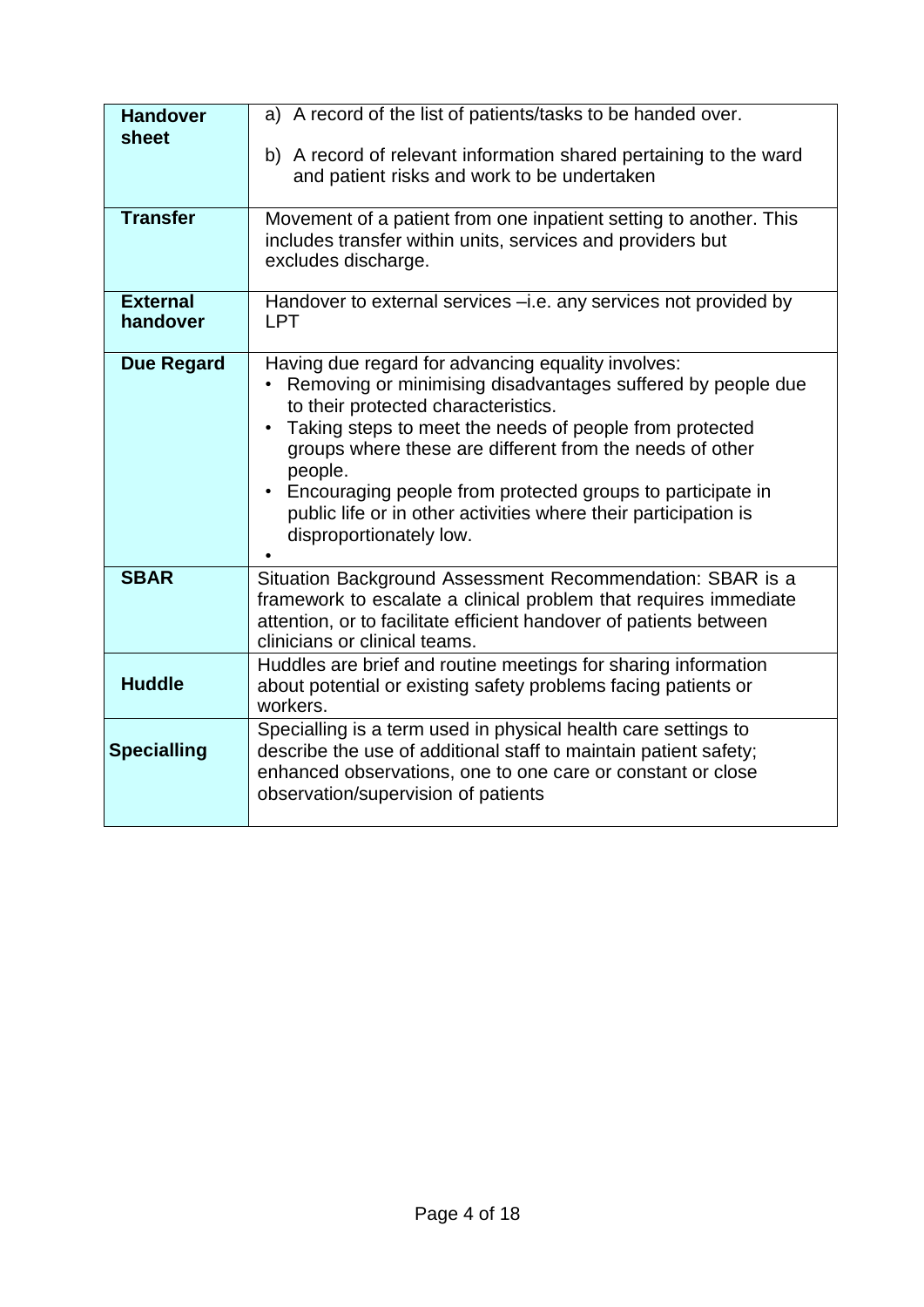| <b>Handover</b><br>sheet    | a) A record of the list of patients/tasks to be handed over.                                                                                                                                                                                                                                                                                                                                                                                                                     |
|-----------------------------|----------------------------------------------------------------------------------------------------------------------------------------------------------------------------------------------------------------------------------------------------------------------------------------------------------------------------------------------------------------------------------------------------------------------------------------------------------------------------------|
|                             | b) A record of relevant information shared pertaining to the ward<br>and patient risks and work to be undertaken                                                                                                                                                                                                                                                                                                                                                                 |
| <b>Transfer</b>             | Movement of a patient from one inpatient setting to another. This<br>includes transfer within units, services and providers but<br>excludes discharge.                                                                                                                                                                                                                                                                                                                           |
| <b>External</b><br>handover | Handover to external services -i.e. any services not provided by<br><b>LPT</b>                                                                                                                                                                                                                                                                                                                                                                                                   |
| <b>Due Regard</b>           | Having due regard for advancing equality involves:<br>Removing or minimising disadvantages suffered by people due<br>$\bullet$<br>to their protected characteristics.<br>Taking steps to meet the needs of people from protected<br>$\bullet$<br>groups where these are different from the needs of other<br>people.<br>Encouraging people from protected groups to participate in<br>public life or in other activities where their participation is<br>disproportionately low. |
| <b>SBAR</b>                 | Situation Background Assessment Recommendation: SBAR is a<br>framework to escalate a clinical problem that requires immediate<br>attention, or to facilitate efficient handover of patients between<br>clinicians or clinical teams.                                                                                                                                                                                                                                             |
| <b>Huddle</b>               | Huddles are brief and routine meetings for sharing information<br>about potential or existing safety problems facing patients or<br>workers.                                                                                                                                                                                                                                                                                                                                     |
| <b>Specialling</b>          | Specialling is a term used in physical health care settings to<br>describe the use of additional staff to maintain patient safety;<br>enhanced observations, one to one care or constant or close<br>observation/supervision of patients                                                                                                                                                                                                                                         |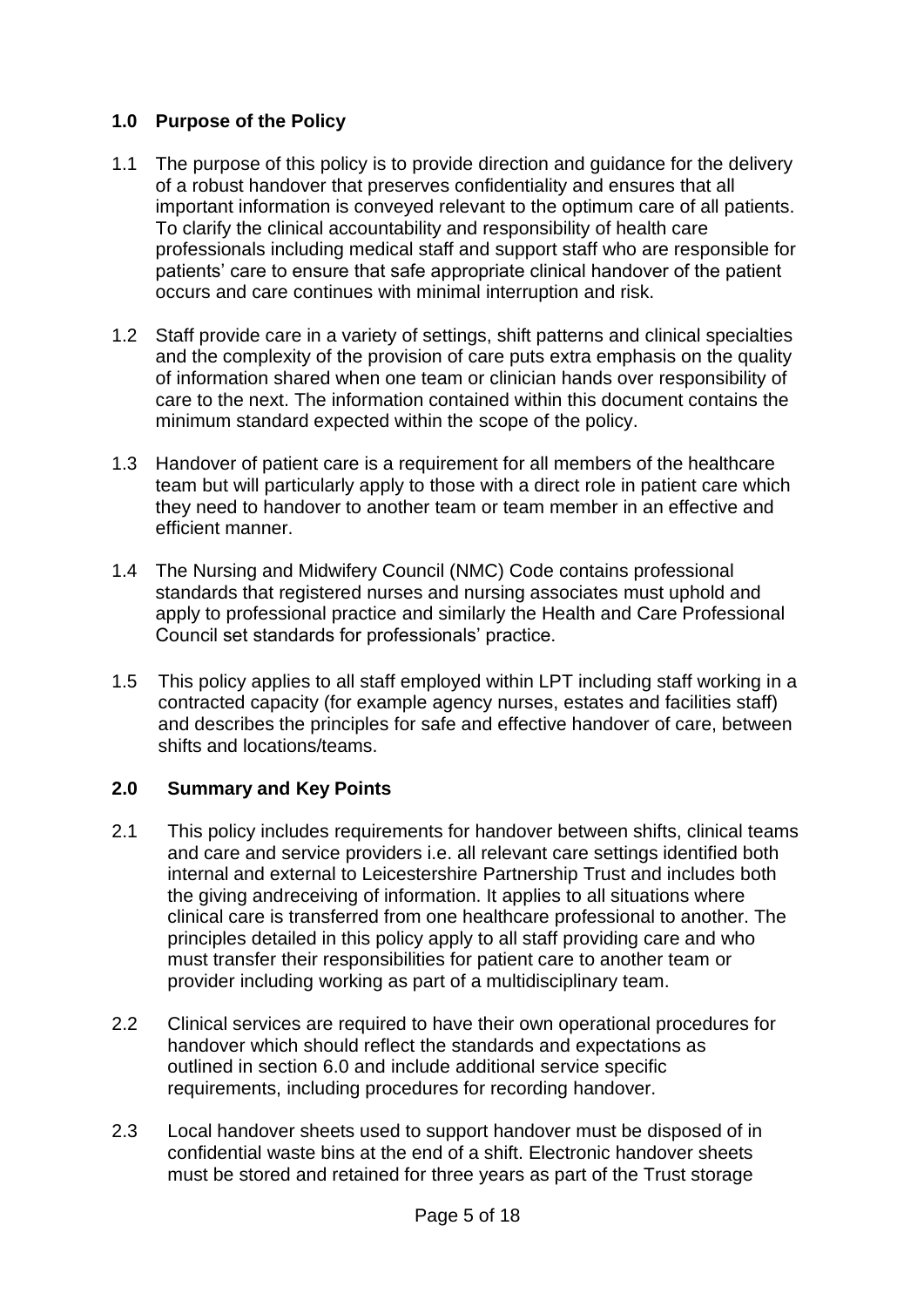#### <span id="page-5-0"></span>**1.0 Purpose of the Policy**

- 1.1 The purpose of this policy is to provide direction and guidance for the delivery of a robust handover that preserves confidentiality and ensures that all important information is conveyed relevant to the optimum care of all patients. To clarify the clinical accountability and responsibility of health care professionals including medical staff and support staff who are responsible for patients' care to ensure that safe appropriate clinical handover of the patient occurs and care continues with minimal interruption and risk.
- 1.2 Staff provide care in a variety of settings, shift patterns and clinical specialties and the complexity of the provision of care puts extra emphasis on the quality of information shared when one team or clinician hands over responsibility of care to the next. The information contained within this document contains the minimum standard expected within the scope of the policy.
- 1.3 Handover of patient care is a requirement for all members of the healthcare team but will particularly apply to those with a direct role in patient care which they need to handover to another team or team member in an effective and efficient manner.
- 1.4 The Nursing and Midwifery Council (NMC) Code contains professional standards that registered nurses and nursing associates must uphold and apply to professional practice and similarly the Health and Care Professional Council set standards for professionals' practice.
- 1.5 This policy applies to all staff employed within LPT including staff working in a contracted capacity (for example agency nurses, estates and facilities staff) and describes the principles for safe and effective handover of care, between shifts and locations/teams.

#### **2.0 Summary and Key Points**

- 2.1 This policy includes requirements for handover between shifts, clinical teams and care and service providers i.e. all relevant care settings identified both internal and external to Leicestershire Partnership Trust and includes both the giving andreceiving of information. It applies to all situations where clinical care is transferred from one healthcare professional to another. The principles detailed in this policy apply to all staff providing care and who must transfer their responsibilities for patient care to another team or provider including working as part of a multidisciplinary team.
- 2.2 Clinical services are required to have their own operational procedures for handover which should reflect the standards and expectations as outlined in section 6.0 and include additional service specific requirements, including procedures for recording handover.
- 2.3 Local handover sheets used to support handover must be disposed of in confidential waste bins at the end of a shift. Electronic handover sheets must be stored and retained for three years as part of the Trust storage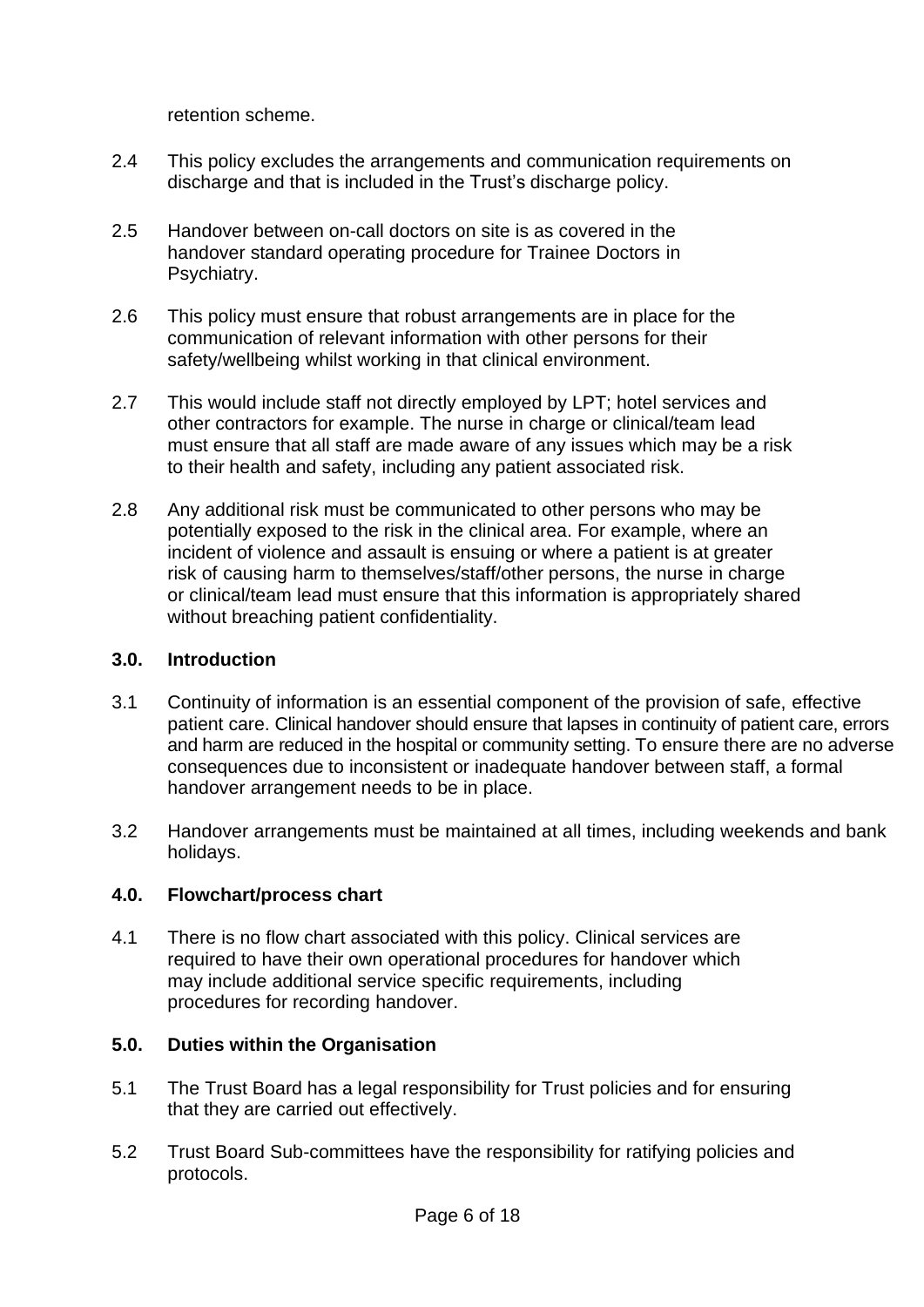retention scheme.

- 2.4 This policy excludes the arrangements and communication requirements on discharge and that is included in the Trust's discharge policy.
- 2.5 Handover between on-call doctors on site is as covered in the handover standard operating procedure for Trainee Doctors in Psychiatry.
- 2.6 This policy must ensure that robust arrangements are in place for the communication of relevant information with other persons for their safety/wellbeing whilst working in that clinical environment.
- 2.7 This would include staff not directly employed by LPT; hotel services and other contractors for example. The nurse in charge or clinical/team lead must ensure that all staff are made aware of any issues which may be a risk to their health and safety, including any patient associated risk.
- 2.8 Any additional risk must be communicated to other persons who may be potentially exposed to the risk in the clinical area. For example, where an incident of violence and assault is ensuing or where a patient is at greater risk of causing harm to themselves/staff/other persons, the nurse in charge or clinical/team lead must ensure that this information is appropriately shared without breaching patient confidentiality.

#### <span id="page-6-0"></span>**3.0. Introduction**

- 3.1 Continuity of information is an essential component of the provision of safe, effective patient care. Clinical handover should ensure that lapses in continuity of patient care, errors and harm are reduced in the hospital or community setting. To ensure there are no adverse consequences due to inconsistent or inadequate handover between staff, a formal handover arrangement needs to be in place.
- 3.2 Handover arrangements must be maintained at all times, including weekends and bank holidays.

#### <span id="page-6-1"></span>**4.0. Flowchart/process chart**

4.1 There is no flow chart associated with this policy. Clinical services are required to have their own operational procedures for handover which may include additional service specific requirements, including procedures for recording handover.

#### <span id="page-6-2"></span>**5.0. Duties within the Organisation**

- 5.1 The Trust Board has a legal responsibility for Trust policies and for ensuring that they are carried out effectively.
- 5.2 Trust Board Sub-committees have the responsibility for ratifying policies and protocols.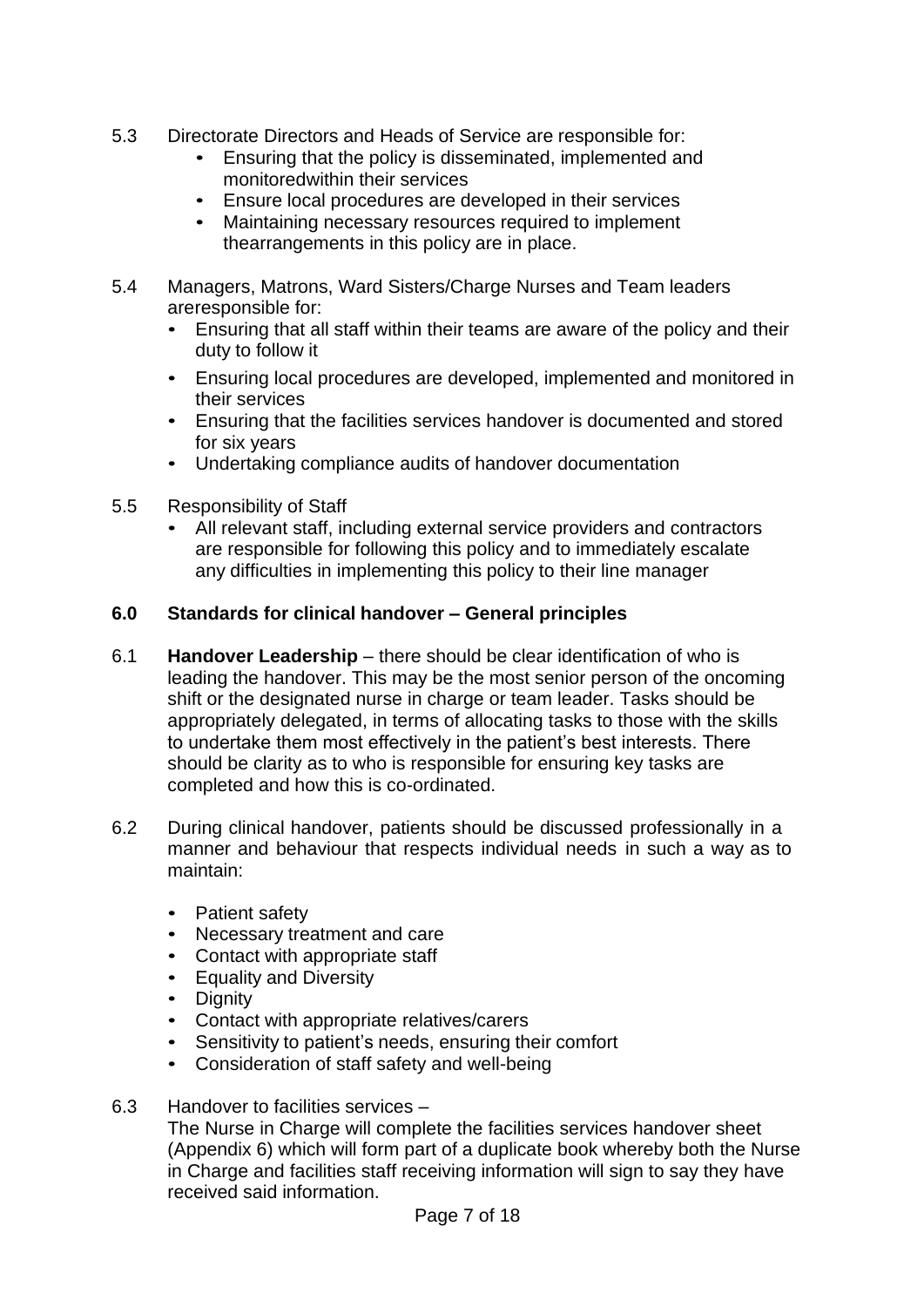- 5.3 Directorate Directors and Heads of Service are responsible for:
	- Ensuring that the policy is disseminated, implemented and monitoredwithin their services
	- Ensure local procedures are developed in their services
	- Maintaining necessary resources required to implement thearrangements in this policy are in place.
- 5.4 Managers, Matrons, Ward Sisters/Charge Nurses and Team leaders areresponsible for:
	- Ensuring that all staff within their teams are aware of the policy and their duty to follow it
	- Ensuring local procedures are developed, implemented and monitored in their services
	- Ensuring that the facilities services handover is documented and stored for six years
	- Undertaking compliance audits of handover documentation
- 5.5 Responsibility of Staff
	- All relevant staff, including external service providers and contractors are responsible for following this policy and to immediately escalate any difficulties in implementing this policy to their line manager

#### **6.0 Standards for clinical handover – General principles**

- 6.1 **Handover Leadership** there should be clear identification of who is leading the handover. This may be the most senior person of the oncoming shift or the designated nurse in charge or team leader. Tasks should be appropriately delegated, in terms of allocating tasks to those with the skills to undertake them most effectively in the patient's best interests. There should be clarity as to who is responsible for ensuring key tasks are completed and how this is co-ordinated.
- 6.2 During clinical handover, patients should be discussed professionally in a manner and behaviour that respects individual needs in such a way as to maintain:
	- Patient safety
	- Necessary treatment and care
	- Contact with appropriate staff
	- Equality and Diversity
	- Dignity
	- Contact with appropriate relatives/carers
	- Sensitivity to patient's needs, ensuring their comfort
	- Consideration of staff safety and well-being
- 6.3 Handover to facilities services –

The Nurse in Charge will complete the facilities services handover sheet (Appendix 6) which will form part of a duplicate book whereby both the Nurse in Charge and facilities staff receiving information will sign to say they have received said information.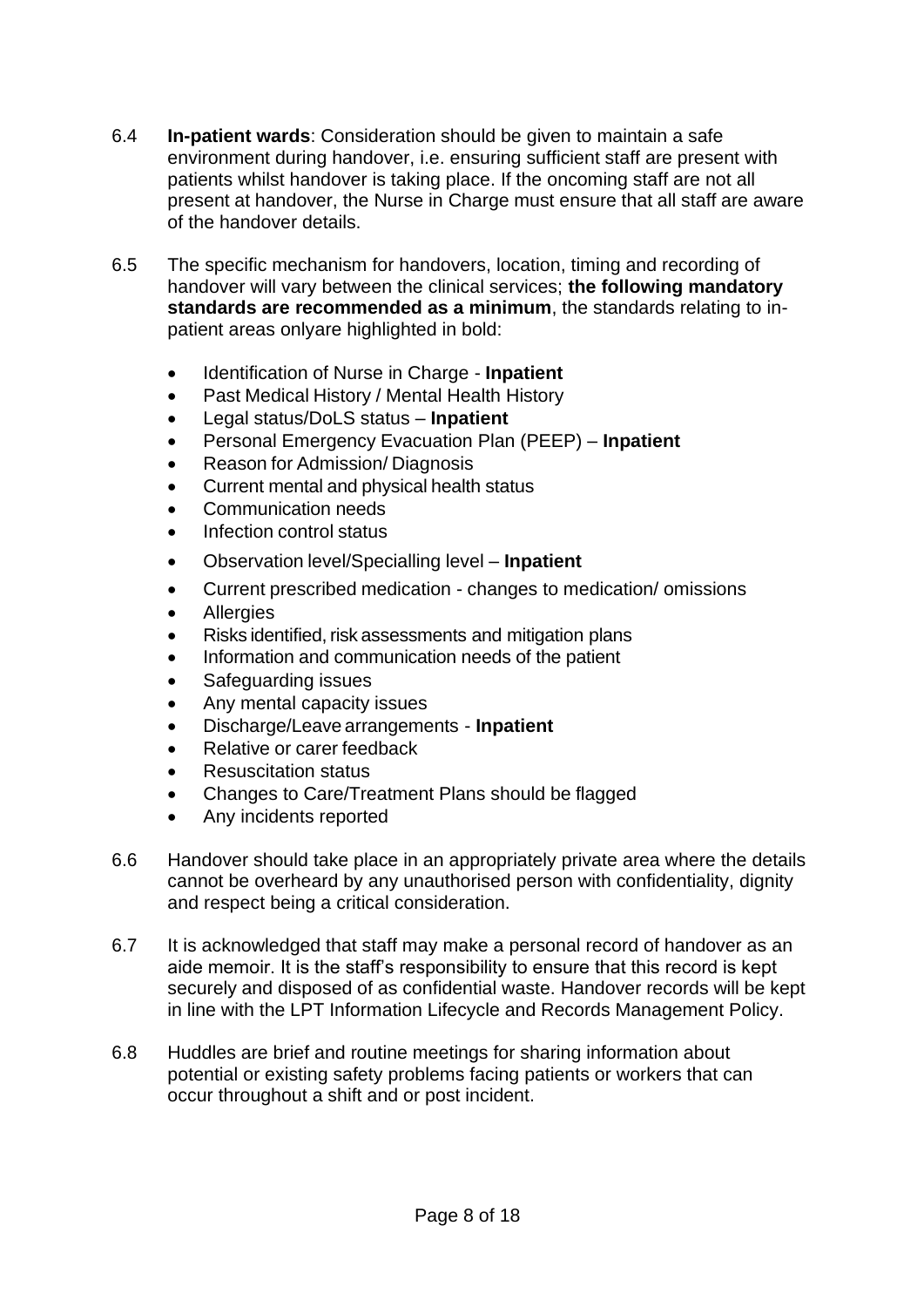- 6.4 **In-patient wards**: Consideration should be given to maintain a safe environment during handover, i.e. ensuring sufficient staff are present with patients whilst handover is taking place. If the oncoming staff are not all present at handover, the Nurse in Charge must ensure that all staff are aware of the handover details.
- 6.5 The specific mechanism for handovers, location, timing and recording of handover will vary between the clinical services; **the following mandatory standards are recommended as a minimum**, the standards relating to inpatient areas onlyare highlighted in bold:
	- Identification of Nurse in Charge **Inpatient**
	- Past Medical History / Mental Health History
	- Legal status/DoLS status **Inpatient**
	- Personal Emergency Evacuation Plan (PEEP) **Inpatient**
	- Reason for Admission/ Diagnosis
	- Current mental and physical health status
	- Communication needs
	- Infection control status
	- Observation level/Specialling level **Inpatient**
	- Current prescribed medication changes to medication/ omissions
	- **Allergies**
	- Risks identified, risk assessments and mitigation plans
	- Information and communication needs of the patient
	- Safeguarding issues
	- Any mental capacity issues
	- Discharge/Leave arrangements **Inpatient**
	- Relative or carer feedback
	- Resuscitation status
	- Changes to Care/Treatment Plans should be flagged
	- Any incidents reported
- 6.6 Handover should take place in an appropriately private area where the details cannot be overheard by any unauthorised person with confidentiality, dignity and respect being a critical consideration.
- 6.7 It is acknowledged that staff may make a personal record of handover as an aide memoir. It is the staff's responsibility to ensure that this record is kept securely and disposed of as confidential waste. Handover records will be kept in line with the LPT Information Lifecycle and Records Management Policy.
- 6.8 Huddles are brief and routine meetings for sharing information about potential or existing safety problems facing patients or workers that can occur throughout a shift and or post incident.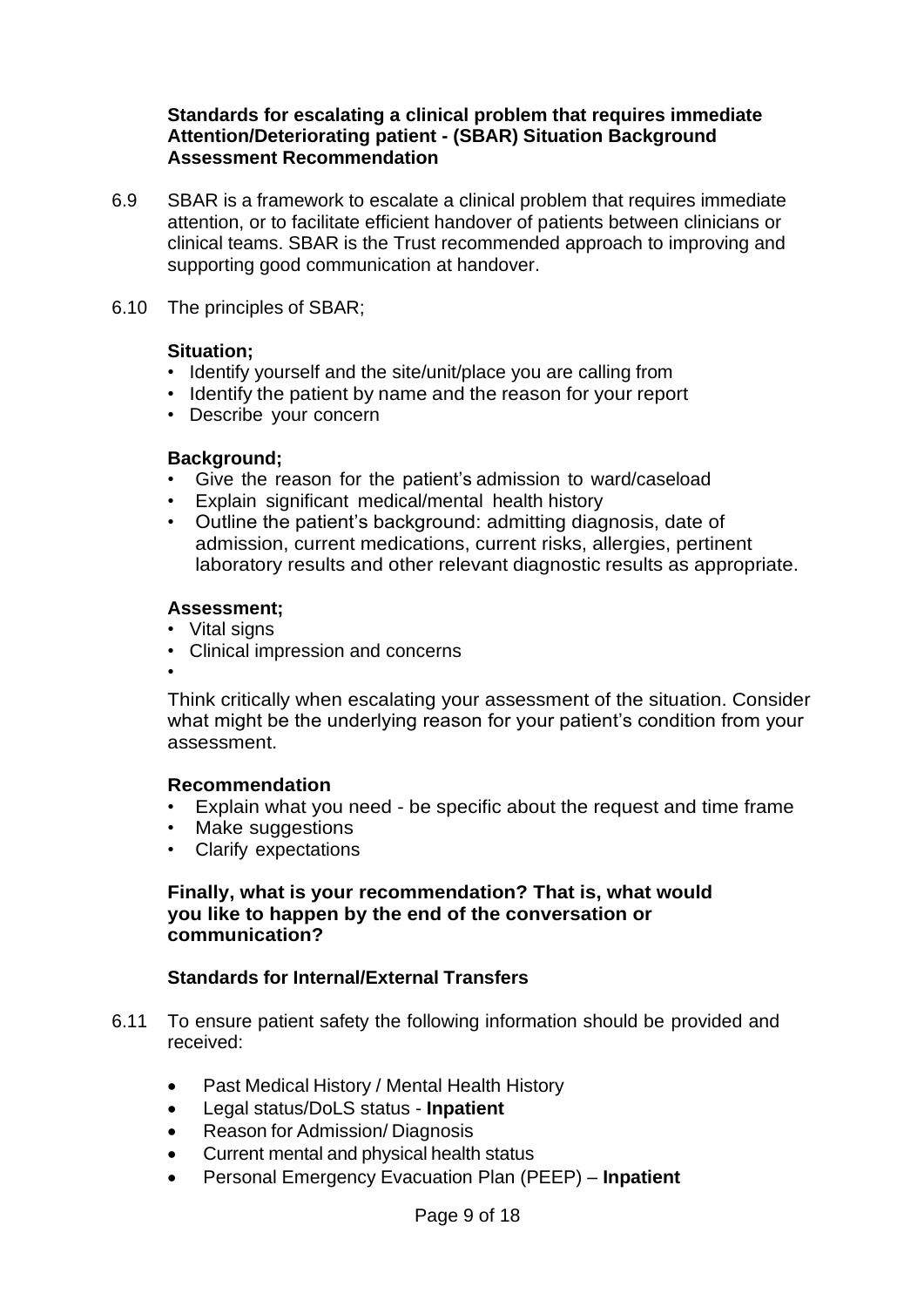#### **Standards for escalating a clinical problem that requires immediate Attention/Deteriorating patient - (SBAR) Situation Background Assessment Recommendation**

- 6.9 SBAR is a framework to escalate a clinical problem that requires immediate attention, or to facilitate efficient handover of patients between clinicians or clinical teams. SBAR is the Trust recommended approach to improving and supporting good communication at handover.
- 6.10 The principles of SBAR;

#### **Situation;**

- Identify yourself and the site/unit/place you are calling from
- Identify the patient by name and the reason for your report
- Describe your concern

#### **Background;**

- Give the reason for the patient's admission to ward/caseload
- Explain significant medical/mental health history
- Outline the patient's background: admitting diagnosis, date of admission, current medications, current risks, allergies, pertinent laboratory results and other relevant diagnostic results as appropriate.

#### **Assessment;**

- Vital signs
- Clinical impression and concerns
- •

Think critically when escalating your assessment of the situation. Consider what might be the underlying reason for your patient's condition from your assessment.

#### **Recommendation**

- Explain what you need be specific about the request and time frame<br>• Make suggestions
- Make suggestions
- Clarify expectations

#### **Finally, what is your recommendation? That is, what would you like to happen by the end of the conversation or communication?**

#### **Standards for Internal/External Transfers**

- 6.11 To ensure patient safety the following information should be provided and received:
	- Past Medical History / Mental Health History
	- Legal status/DoLS status **Inpatient**
	- Reason for Admission/ Diagnosis
	- Current mental and physical health status
	- Personal Emergency Evacuation Plan (PEEP) **Inpatient**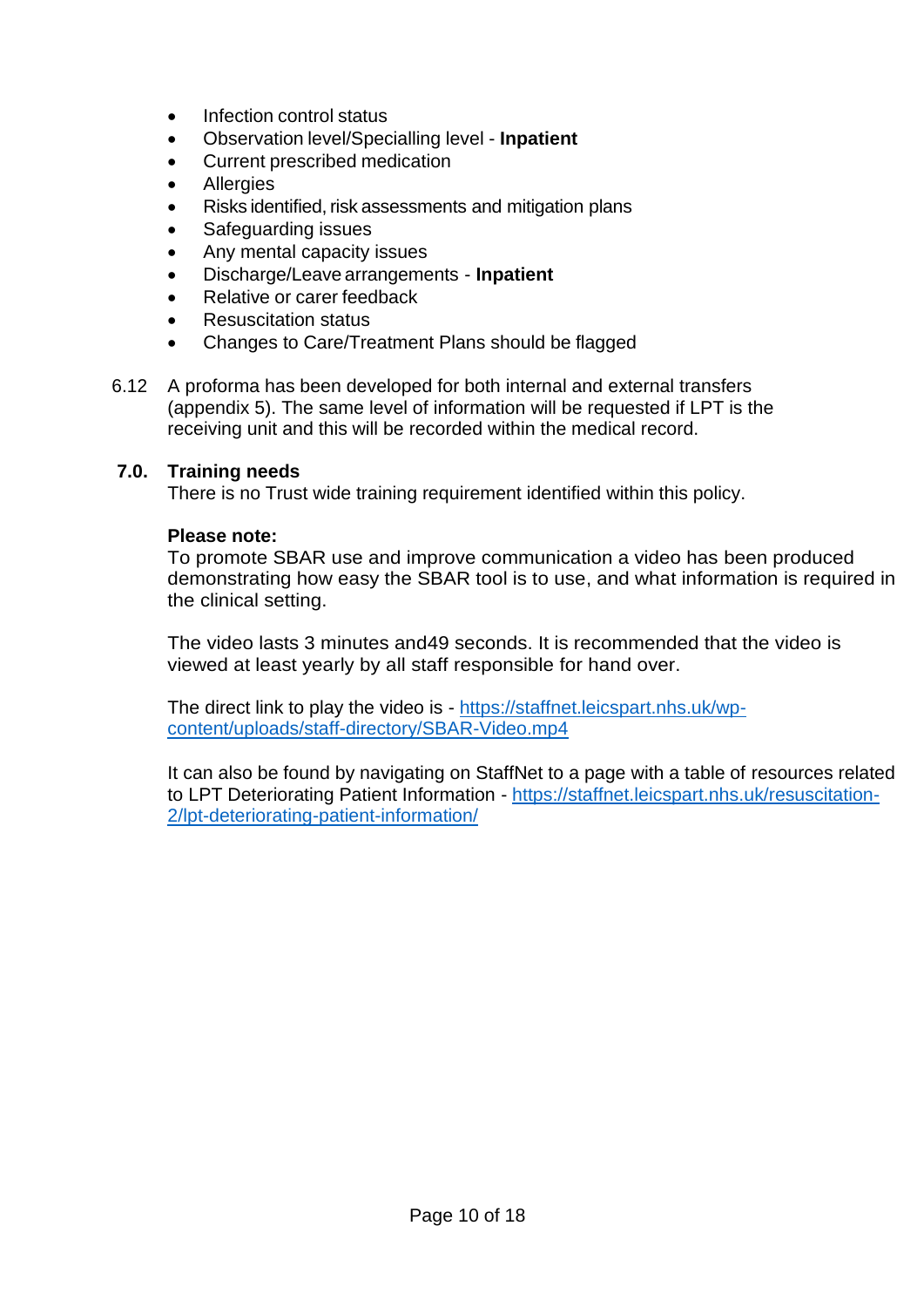- Infection control status
- Observation level/Specialling level **Inpatient**
- Current prescribed medication
- **Allergies**
- Risks identified, risk assessments and mitigation plans
- Safeguarding issues
- Any mental capacity issues
- Discharge/Leave arrangements **Inpatient**
- Relative or carer feedback
- Resuscitation status
- Changes to Care/Treatment Plans should be flagged
- 6.12 A proforma has been developed for both internal and external transfers (appendix 5). The same level of information will be requested if LPT is the receiving unit and this will be recorded within the medical record.

#### **7.0. Training needs**

There is no Trust wide training requirement identified within this policy.

#### **Please note:**

To promote SBAR use and improve communication a video has been produced demonstrating how easy the SBAR tool is to use, and what information is required in the clinical setting.

The video lasts 3 minutes and49 seconds. It is recommended that the video is viewed at least yearly by all staff responsible for hand over.

The direct link to play the video is - [https://staffnet.leicspart.nhs.uk/wp](https://staffnet.leicspart.nhs.uk/wp-content/uploads/staff-directory/SBAR-Video.mp4)[content/uploads/staff-directory/SBAR-Video.mp4](https://staffnet.leicspart.nhs.uk/wp-content/uploads/staff-directory/SBAR-Video.mp4)

It can also be found by navigating on StaffNet to a page with a table of resources related to LPT Deteriorating Patient Information - [https://staffnet.leicspart.nhs.uk/resuscitation-](https://staffnet.leicspart.nhs.uk/resuscitation-2/lpt-deteriorating-patient-information/)[2/lpt-deteriorating-patient-information/](https://staffnet.leicspart.nhs.uk/resuscitation-2/lpt-deteriorating-patient-information/)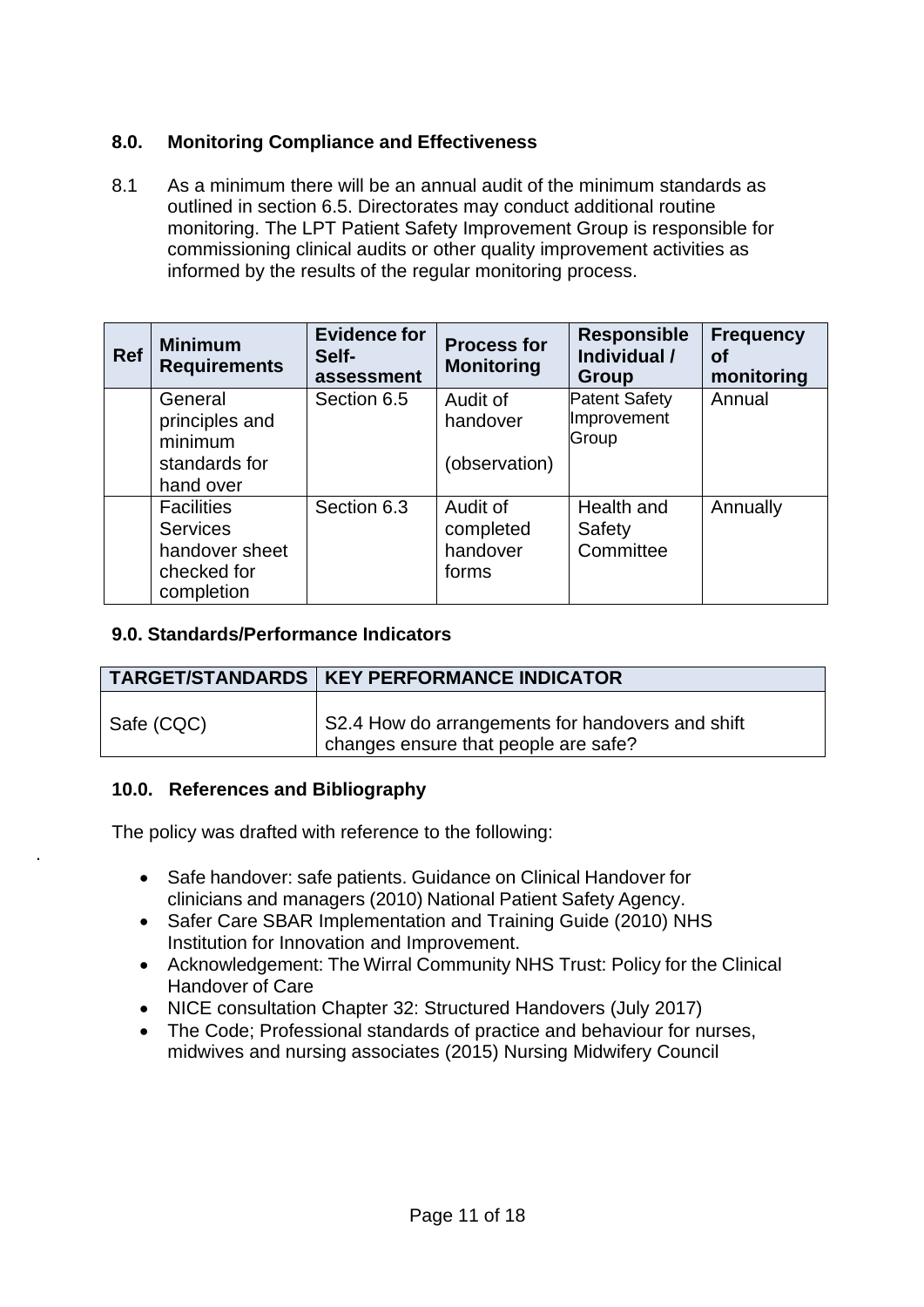#### **8.0. Monitoring Compliance and Effectiveness**

8.1 As a minimum there will be an annual audit of the minimum standards as outlined in section 6.5. Directorates may conduct additional routine monitoring. The LPT Patient Safety Improvement Group is responsible for commissioning clinical audits or other quality improvement activities as informed by the results of the regular monitoring process.

| <b>Ref</b> | <b>Minimum</b><br><b>Requirements</b> | <b>Evidence for</b><br>Self-<br>assessment | <b>Process for</b><br><b>Monitoring</b> | <b>Responsible</b><br>Individual /<br>Group | <b>Frequency</b><br>οf<br>monitoring |
|------------|---------------------------------------|--------------------------------------------|-----------------------------------------|---------------------------------------------|--------------------------------------|
|            | General                               | Section 6.5                                | Audit of                                | <b>Patent Safety</b>                        | Annual                               |
|            | principles and<br>minimum             |                                            | handover                                | Improvement<br>Group                        |                                      |
|            | standards for                         |                                            | (observation)                           |                                             |                                      |
|            | hand over                             |                                            |                                         |                                             |                                      |
|            | <b>Facilities</b>                     | Section 6.3                                | Audit of                                | Health and                                  | Annually                             |
|            | <b>Services</b>                       |                                            | completed                               | Safety                                      |                                      |
|            | handover sheet                        |                                            | handover                                | Committee                                   |                                      |
|            | checked for                           |                                            | forms                                   |                                             |                                      |
|            | completion                            |                                            |                                         |                                             |                                      |

#### **9.0. Standards/Performance Indicators**

|            | <b>TARGET/STANDARDS   KEY PERFORMANCE INDICATOR</b>                                      |
|------------|------------------------------------------------------------------------------------------|
| Safe (CQC) | S2.4 How do arrangements for handovers and shift<br>changes ensure that people are safe? |

#### **10.0. References and Bibliography**

.

The policy was drafted with reference to the following:

- Safe handover: safe patients. Guidance on Clinical Handover for clinicians and managers (2010) National Patient Safety Agency.
- Safer Care SBAR Implementation and Training Guide (2010) NHS Institution for Innovation and Improvement.
- Acknowledgement: The Wirral Community NHS Trust: Policy for the Clinical Handover of Care
- NICE consultation Chapter 32: Structured Handovers (July 2017)
- The Code; Professional standards of practice and behaviour for nurses, midwives and nursing associates (2015) Nursing Midwifery Council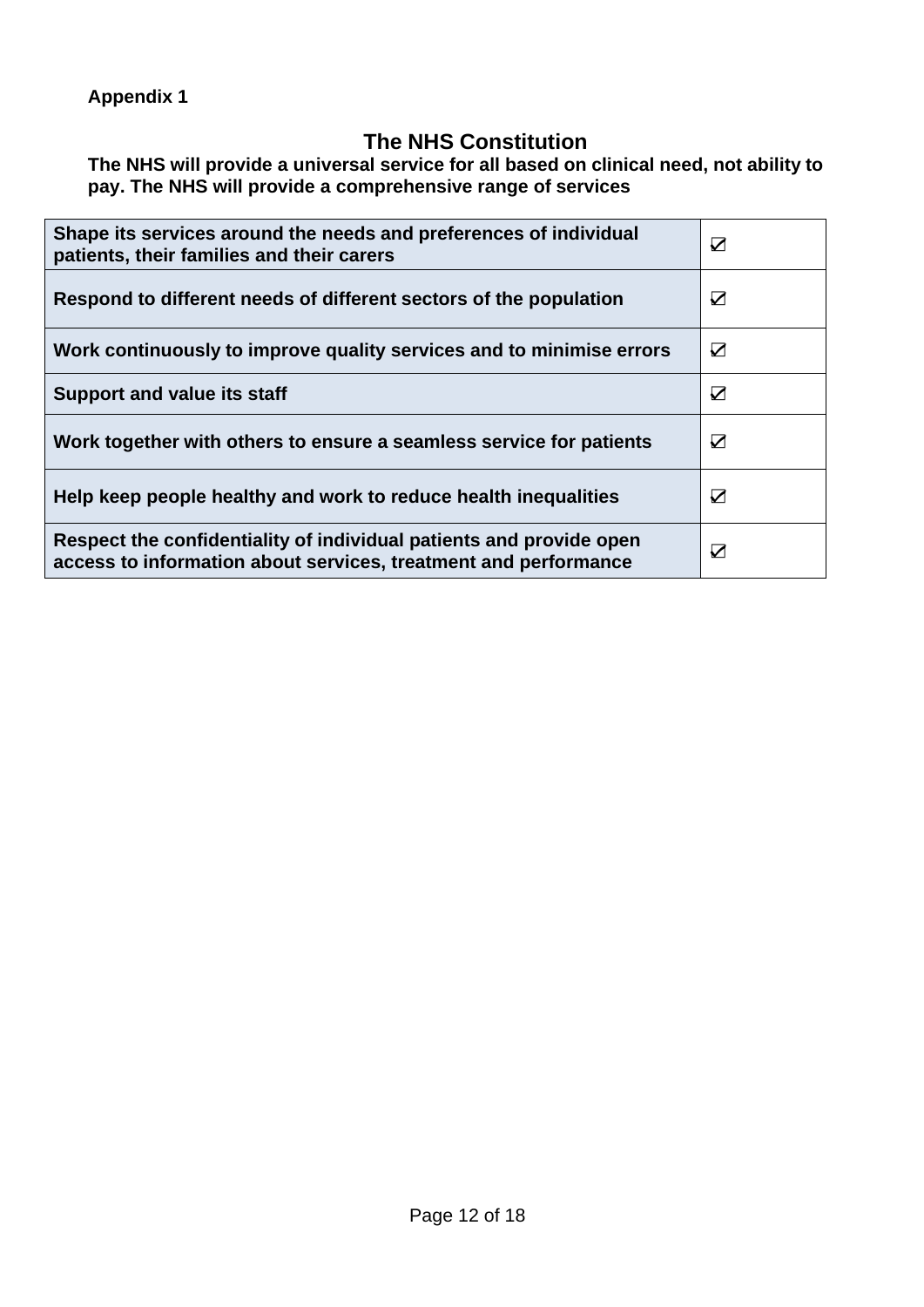# **The NHS Constitution**

**The NHS will provide a universal service for all based on clinical need, not ability to pay. The NHS will provide a comprehensive range of services**

| Shape its services around the needs and preferences of individual<br>patients, their families and their carers                         | ☑                     |
|----------------------------------------------------------------------------------------------------------------------------------------|-----------------------|
| Respond to different needs of different sectors of the population                                                                      | $\boldsymbol{\nabla}$ |
| Work continuously to improve quality services and to minimise errors                                                                   | ☑                     |
| <b>Support and value its staff</b>                                                                                                     | ☑                     |
| Work together with others to ensure a seamless service for patients                                                                    | ☑                     |
| Help keep people healthy and work to reduce health inequalities                                                                        | $\boldsymbol{\nabla}$ |
| Respect the confidentiality of individual patients and provide open<br>access to information about services, treatment and performance | ☑                     |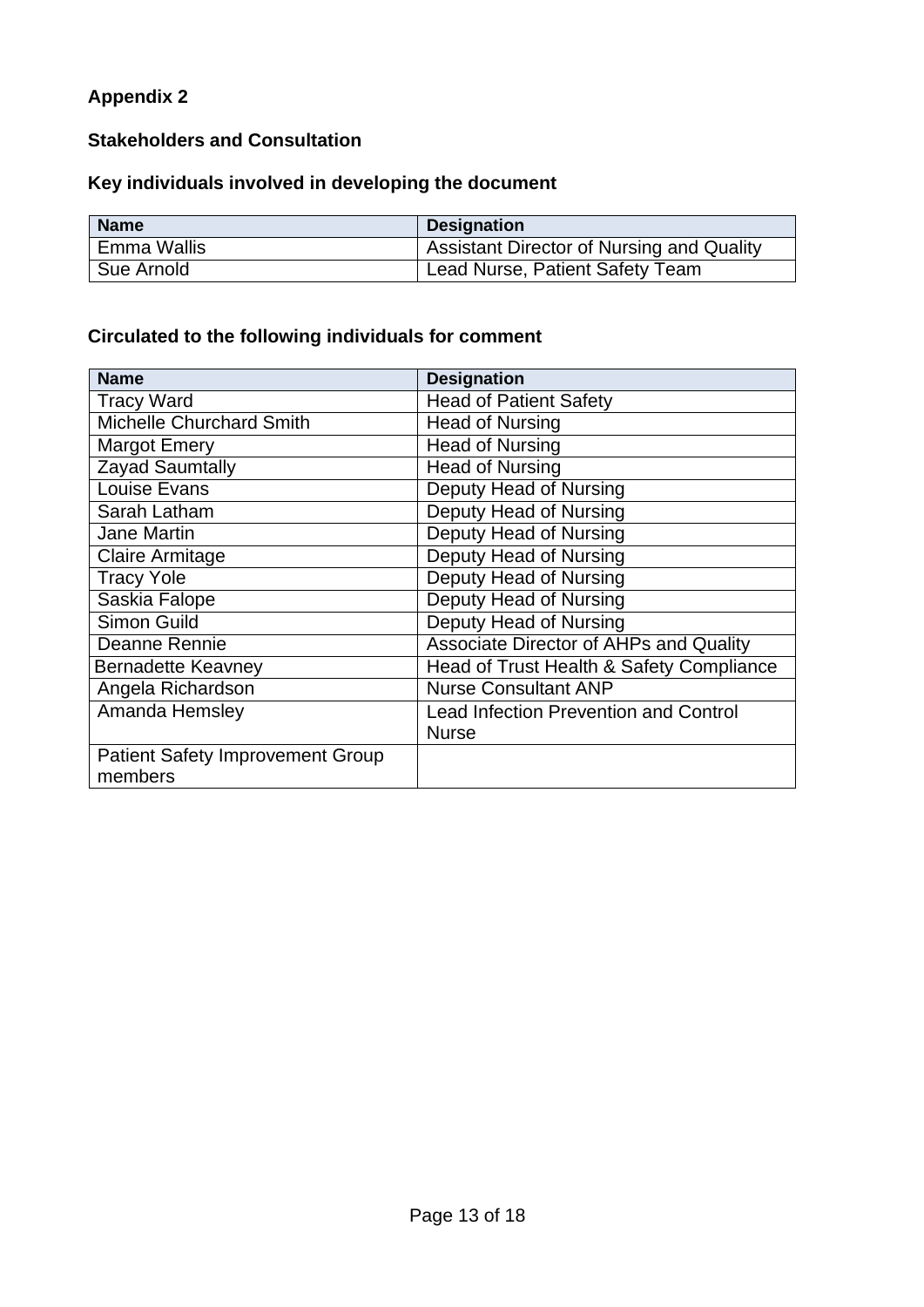#### **Stakeholders and Consultation**

# **Key individuals involved in developing the document**

| <b>Name</b> | <b>Designation</b>                               |
|-------------|--------------------------------------------------|
| Emma Wallis | <b>Assistant Director of Nursing and Quality</b> |
| Sue Arnold  | Lead Nurse, Patient Safety Team                  |

# **Circulated to the following individuals for comment**

| <b>Name</b>                             | <b>Designation</b>                           |
|-----------------------------------------|----------------------------------------------|
| <b>Tracy Ward</b>                       | <b>Head of Patient Safety</b>                |
| <b>Michelle Churchard Smith</b>         | <b>Head of Nursing</b>                       |
| <b>Margot Emery</b>                     | <b>Head of Nursing</b>                       |
| Zayad Saumtally                         | <b>Head of Nursing</b>                       |
| Louise Evans                            | Deputy Head of Nursing                       |
| Sarah Latham                            | Deputy Head of Nursing                       |
| <b>Jane Martin</b>                      | Deputy Head of Nursing                       |
| <b>Claire Armitage</b>                  | Deputy Head of Nursing                       |
| <b>Tracy Yole</b>                       | Deputy Head of Nursing                       |
| Saskia Falope                           | Deputy Head of Nursing                       |
| Simon Guild                             | Deputy Head of Nursing                       |
| Deanne Rennie                           | Associate Director of AHPs and Quality       |
| <b>Bernadette Keavney</b>               | Head of Trust Health & Safety Compliance     |
| Angela Richardson                       | <b>Nurse Consultant ANP</b>                  |
| Amanda Hemsley                          | <b>Lead Infection Prevention and Control</b> |
|                                         | <b>Nurse</b>                                 |
| <b>Patient Safety Improvement Group</b> |                                              |
| members                                 |                                              |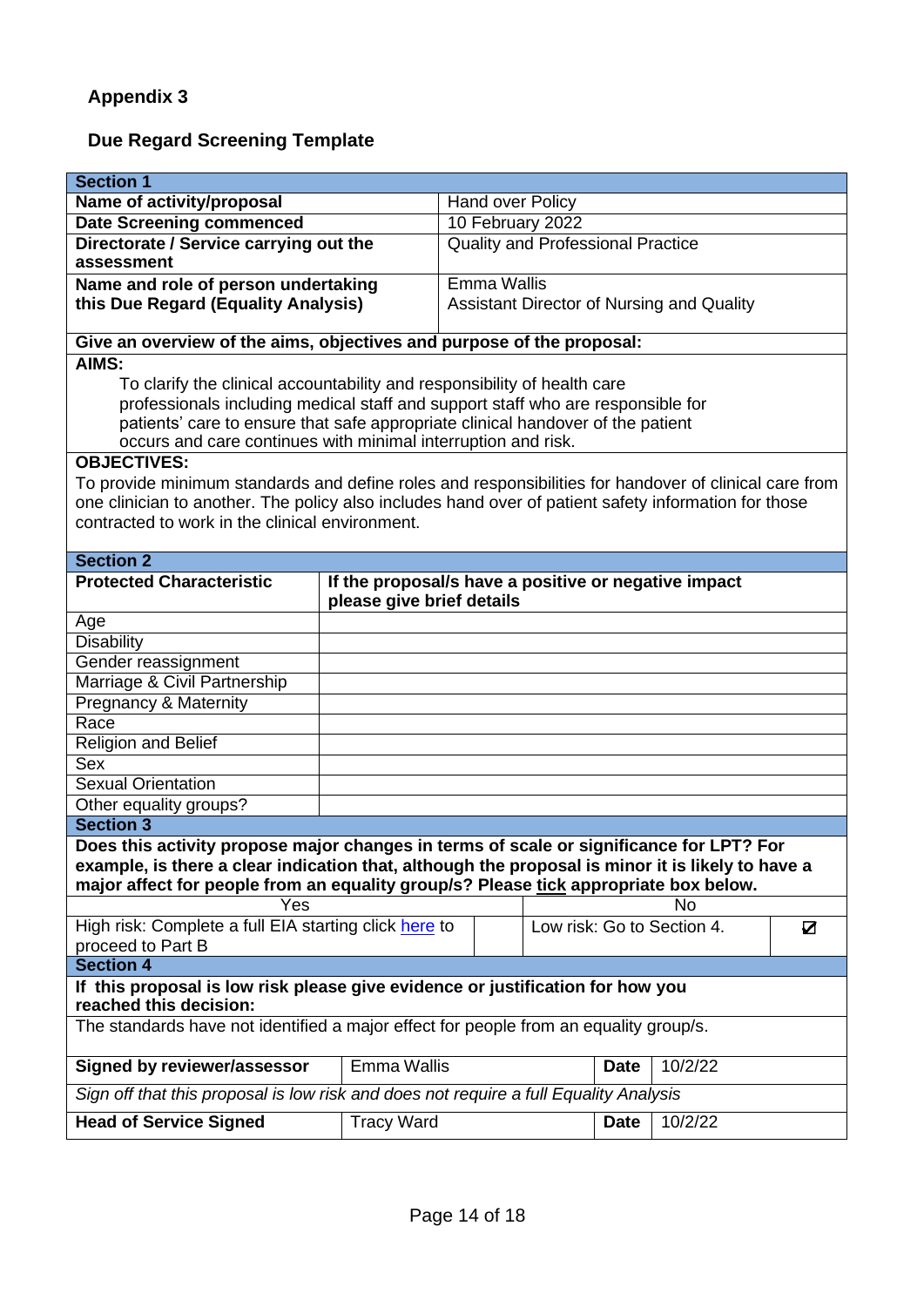# **Due Regard Screening Template**

| <b>Section 1</b>                                                                                         |                           |                                                      |             |                            |   |
|----------------------------------------------------------------------------------------------------------|---------------------------|------------------------------------------------------|-------------|----------------------------|---|
| Name of activity/proposal                                                                                |                           | <b>Hand over Policy</b>                              |             |                            |   |
| <b>Date Screening commenced</b>                                                                          |                           | 10 February 2022                                     |             |                            |   |
| Directorate / Service carrying out the                                                                   |                           | <b>Quality and Professional Practice</b>             |             |                            |   |
| assessment                                                                                               |                           |                                                      |             |                            |   |
| Name and role of person undertaking                                                                      |                           | <b>Emma Wallis</b>                                   |             |                            |   |
| this Due Regard (Equality Analysis)                                                                      |                           | Assistant Director of Nursing and Quality            |             |                            |   |
|                                                                                                          |                           |                                                      |             |                            |   |
| Give an overview of the aims, objectives and purpose of the proposal:                                    |                           |                                                      |             |                            |   |
| AIMS:                                                                                                    |                           |                                                      |             |                            |   |
| To clarify the clinical accountability and responsibility of health care                                 |                           |                                                      |             |                            |   |
| professionals including medical staff and support staff who are responsible for                          |                           |                                                      |             |                            |   |
| patients' care to ensure that safe appropriate clinical handover of the patient                          |                           |                                                      |             |                            |   |
| occurs and care continues with minimal interruption and risk.                                            |                           |                                                      |             |                            |   |
| <b>OBJECTIVES:</b>                                                                                       |                           |                                                      |             |                            |   |
| To provide minimum standards and define roles and responsibilities for handover of clinical care from    |                           |                                                      |             |                            |   |
| one clinician to another. The policy also includes hand over of patient safety information for those     |                           |                                                      |             |                            |   |
| contracted to work in the clinical environment.                                                          |                           |                                                      |             |                            |   |
|                                                                                                          |                           |                                                      |             |                            |   |
| <b>Section 2</b>                                                                                         |                           |                                                      |             |                            |   |
| <b>Protected Characteristic</b>                                                                          |                           | If the proposal/s have a positive or negative impact |             |                            |   |
|                                                                                                          | please give brief details |                                                      |             |                            |   |
| Age                                                                                                      |                           |                                                      |             |                            |   |
| <b>Disability</b>                                                                                        |                           |                                                      |             |                            |   |
| Gender reassignment                                                                                      |                           |                                                      |             |                            |   |
| Marriage & Civil Partnership                                                                             |                           |                                                      |             |                            |   |
| <b>Pregnancy &amp; Maternity</b>                                                                         |                           |                                                      |             |                            |   |
| Race                                                                                                     |                           |                                                      |             |                            |   |
| Religion and Belief                                                                                      |                           |                                                      |             |                            |   |
| <b>Sex</b>                                                                                               |                           |                                                      |             |                            |   |
| <b>Sexual Orientation</b>                                                                                |                           |                                                      |             |                            |   |
| Other equality groups?                                                                                   |                           |                                                      |             |                            |   |
| <b>Section 3</b>                                                                                         |                           |                                                      |             |                            |   |
| Does this activity propose major changes in terms of scale or significance for LPT? For                  |                           |                                                      |             |                            |   |
| example, is there a clear indication that, although the proposal is minor it is likely to have a         |                           |                                                      |             |                            |   |
| major affect for people from an equality group/s? Please tick appropriate box below.                     |                           |                                                      |             |                            |   |
| Yes                                                                                                      |                           |                                                      |             | No                         |   |
| High risk: Complete a full EIA starting click here to                                                    |                           |                                                      |             | Low risk: Go to Section 4. | ☑ |
| proceed to Part B                                                                                        |                           |                                                      |             |                            |   |
| <b>Section 4</b>                                                                                         |                           |                                                      |             |                            |   |
| If this proposal is low risk please give evidence or justification for how you<br>reached this decision: |                           |                                                      |             |                            |   |
| The standards have not identified a major effect for people from an equality group/s.                    |                           |                                                      |             |                            |   |
| <b>Signed by reviewer/assessor</b>                                                                       | Emma Wallis               |                                                      | <b>Date</b> | 10/2/22                    |   |
| Sign off that this proposal is low risk and does not require a full Equality Analysis                    |                           |                                                      |             |                            |   |
| <b>Head of Service Signed</b>                                                                            | <b>Tracy Ward</b>         |                                                      | <b>Date</b> | 10/2/22                    |   |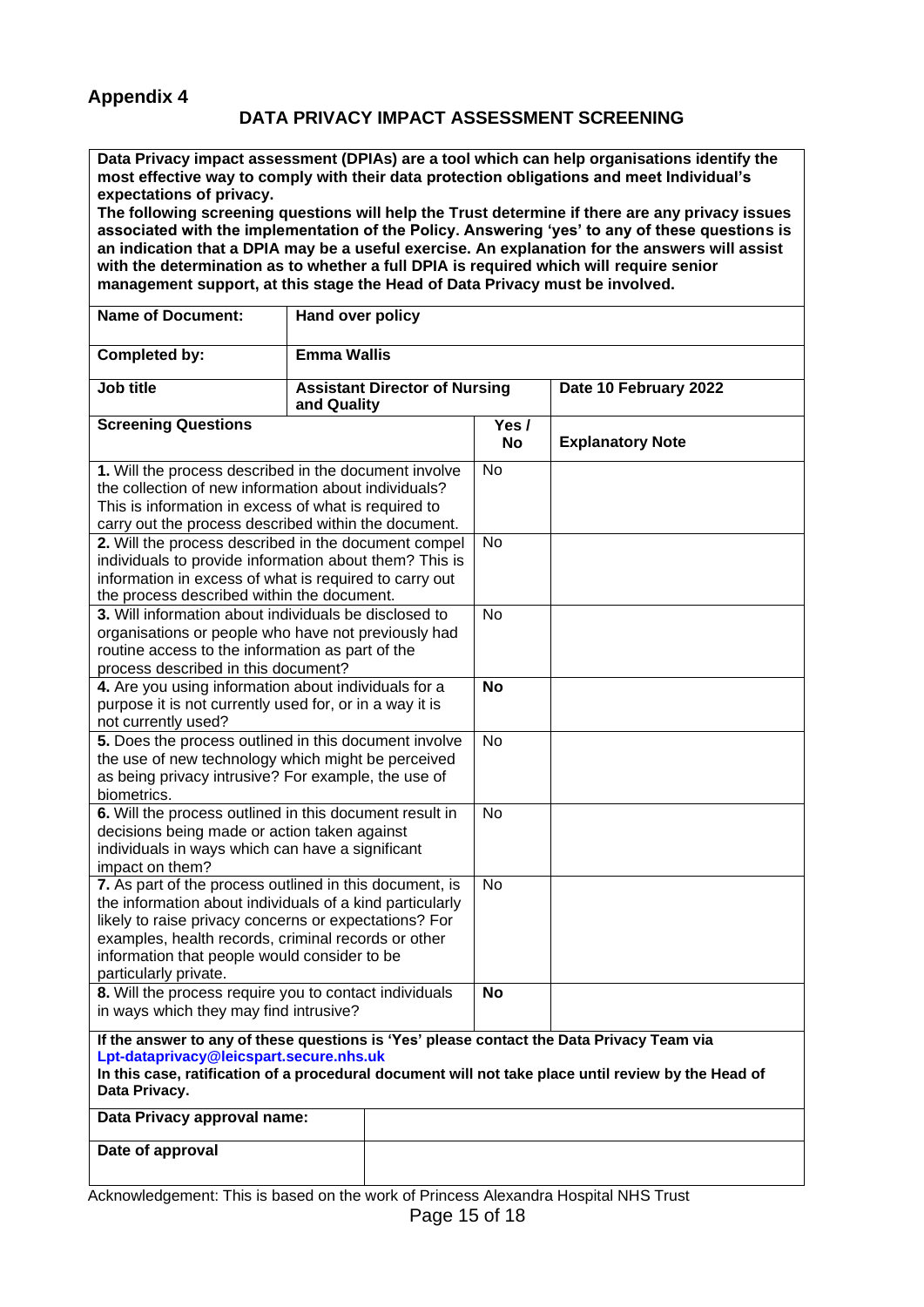#### **DATA PRIVACY IMPACT ASSESSMENT SCREENING**

**Data Privacy impact assessment (DPIAs) are a tool which can help organisations identify the most effective way to comply with their data protection obligations and meet Individual's expectations of privacy.**

**The following screening questions will help the Trust determine if there are any privacy issues associated with the implementation of the Policy. Answering 'yes' to any of these questions is an indication that a DPIA may be a useful exercise. An explanation for the answers will assist with the determination as to whether a full DPIA is required which will require senior management support, at this stage the Head of Data Privacy must be involved.**

| <b>Name of Document:</b>                                                                                                                                                                                                                                                                                     | Hand over policy   |                                      |                    |                         |  |  |
|--------------------------------------------------------------------------------------------------------------------------------------------------------------------------------------------------------------------------------------------------------------------------------------------------------------|--------------------|--------------------------------------|--------------------|-------------------------|--|--|
| <b>Completed by:</b>                                                                                                                                                                                                                                                                                         | <b>Emma Wallis</b> |                                      |                    |                         |  |  |
| Job title                                                                                                                                                                                                                                                                                                    | and Quality        | <b>Assistant Director of Nursing</b> |                    | Date 10 February 2022   |  |  |
| <b>Screening Questions</b>                                                                                                                                                                                                                                                                                   |                    |                                      | Yes /<br><b>No</b> | <b>Explanatory Note</b> |  |  |
| 1. Will the process described in the document involve<br>the collection of new information about individuals?<br>This is information in excess of what is required to<br>carry out the process described within the document.                                                                                |                    |                                      | No                 |                         |  |  |
| 2. Will the process described in the document compel<br>individuals to provide information about them? This is<br>information in excess of what is required to carry out<br>the process described within the document.                                                                                       |                    |                                      | No                 |                         |  |  |
| 3. Will information about individuals be disclosed to<br>organisations or people who have not previously had<br>routine access to the information as part of the<br>process described in this document?                                                                                                      |                    |                                      | <b>No</b>          |                         |  |  |
| 4. Are you using information about individuals for a<br>purpose it is not currently used for, or in a way it is<br>not currently used?                                                                                                                                                                       |                    |                                      | <b>No</b>          |                         |  |  |
| 5. Does the process outlined in this document involve<br>the use of new technology which might be perceived<br>as being privacy intrusive? For example, the use of<br>biometrics.                                                                                                                            |                    |                                      | <b>No</b>          |                         |  |  |
| 6. Will the process outlined in this document result in<br>decisions being made or action taken against<br>individuals in ways which can have a significant<br>impact on them?                                                                                                                               |                    |                                      | No                 |                         |  |  |
| 7. As part of the process outlined in this document, is<br>the information about individuals of a kind particularly<br>likely to raise privacy concerns or expectations? For<br>examples, health records, criminal records or other<br>information that people would consider to be<br>particularly private. |                    |                                      | $\overline{N}$ o   |                         |  |  |
| 8. Will the process require you to contact individuals<br>in ways which they may find intrusive?                                                                                                                                                                                                             |                    |                                      | <b>No</b>          |                         |  |  |
| If the answer to any of these questions is 'Yes' please contact the Data Privacy Team via<br>Lpt-dataprivacy@leicspart.secure.nhs.uk<br>In this case, ratification of a procedural document will not take place until review by the Head of<br>Data Privacy.                                                 |                    |                                      |                    |                         |  |  |
| Data Privacy approval name:                                                                                                                                                                                                                                                                                  |                    |                                      |                    |                         |  |  |
| Date of approval                                                                                                                                                                                                                                                                                             |                    |                                      |                    |                         |  |  |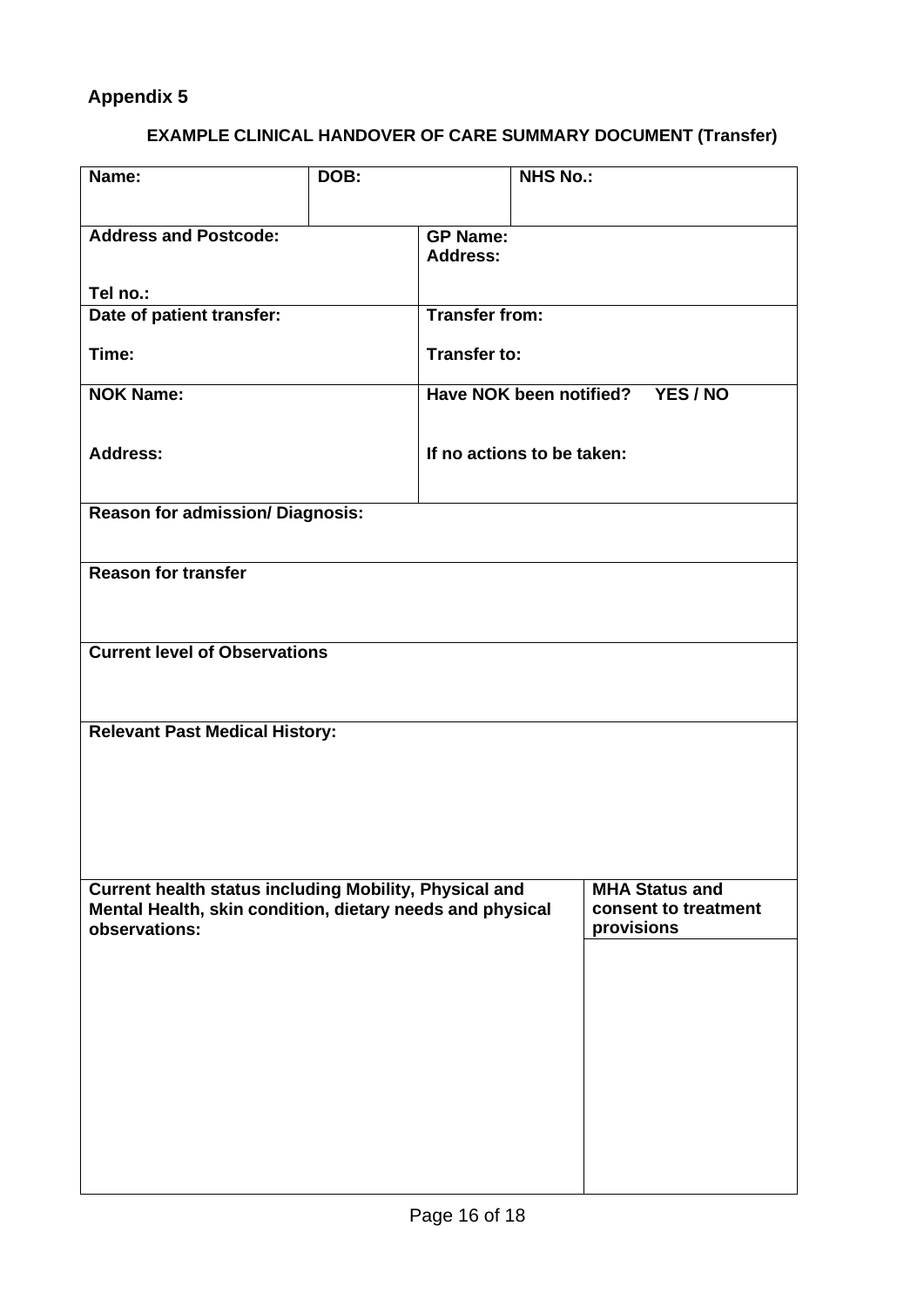# **EXAMPLE CLINICAL HANDOVER OF CARE SUMMARY DOCUMENT (Transfer)**

| Name:                                                                                                                                | DOB:                                       |                                    | <b>NHS No.:</b> |                                                             |  |  |  |
|--------------------------------------------------------------------------------------------------------------------------------------|--------------------------------------------|------------------------------------|-----------------|-------------------------------------------------------------|--|--|--|
| <b>Address and Postcode:</b>                                                                                                         |                                            | <b>GP Name:</b><br><b>Address:</b> |                 |                                                             |  |  |  |
| Tel no.:                                                                                                                             |                                            |                                    |                 |                                                             |  |  |  |
| Date of patient transfer:                                                                                                            |                                            | <b>Transfer from:</b>              |                 |                                                             |  |  |  |
| Time:                                                                                                                                |                                            | <b>Transfer to:</b>                |                 |                                                             |  |  |  |
| <b>NOK Name:</b>                                                                                                                     | <b>Have NOK been notified?</b><br>YES / NO |                                    |                 |                                                             |  |  |  |
| <b>Address:</b>                                                                                                                      | If no actions to be taken:                 |                                    |                 |                                                             |  |  |  |
| <b>Reason for admission/Diagnosis:</b>                                                                                               |                                            |                                    |                 |                                                             |  |  |  |
|                                                                                                                                      |                                            |                                    |                 |                                                             |  |  |  |
| <b>Reason for transfer</b>                                                                                                           |                                            |                                    |                 |                                                             |  |  |  |
|                                                                                                                                      |                                            |                                    |                 |                                                             |  |  |  |
| <b>Current level of Observations</b>                                                                                                 |                                            |                                    |                 |                                                             |  |  |  |
| <b>Relevant Past Medical History:</b>                                                                                                |                                            |                                    |                 |                                                             |  |  |  |
|                                                                                                                                      |                                            |                                    |                 |                                                             |  |  |  |
|                                                                                                                                      |                                            |                                    |                 |                                                             |  |  |  |
|                                                                                                                                      |                                            |                                    |                 |                                                             |  |  |  |
|                                                                                                                                      |                                            |                                    |                 |                                                             |  |  |  |
| Current health status including Mobility, Physical and<br>Mental Health, skin condition, dietary needs and physical<br>observations: |                                            |                                    |                 | <b>MHA Status and</b><br>consent to treatment<br>provisions |  |  |  |
|                                                                                                                                      |                                            |                                    |                 |                                                             |  |  |  |
|                                                                                                                                      |                                            |                                    |                 |                                                             |  |  |  |
|                                                                                                                                      |                                            |                                    |                 |                                                             |  |  |  |
|                                                                                                                                      |                                            |                                    |                 |                                                             |  |  |  |
|                                                                                                                                      |                                            |                                    |                 |                                                             |  |  |  |
|                                                                                                                                      |                                            |                                    |                 |                                                             |  |  |  |
|                                                                                                                                      |                                            |                                    |                 |                                                             |  |  |  |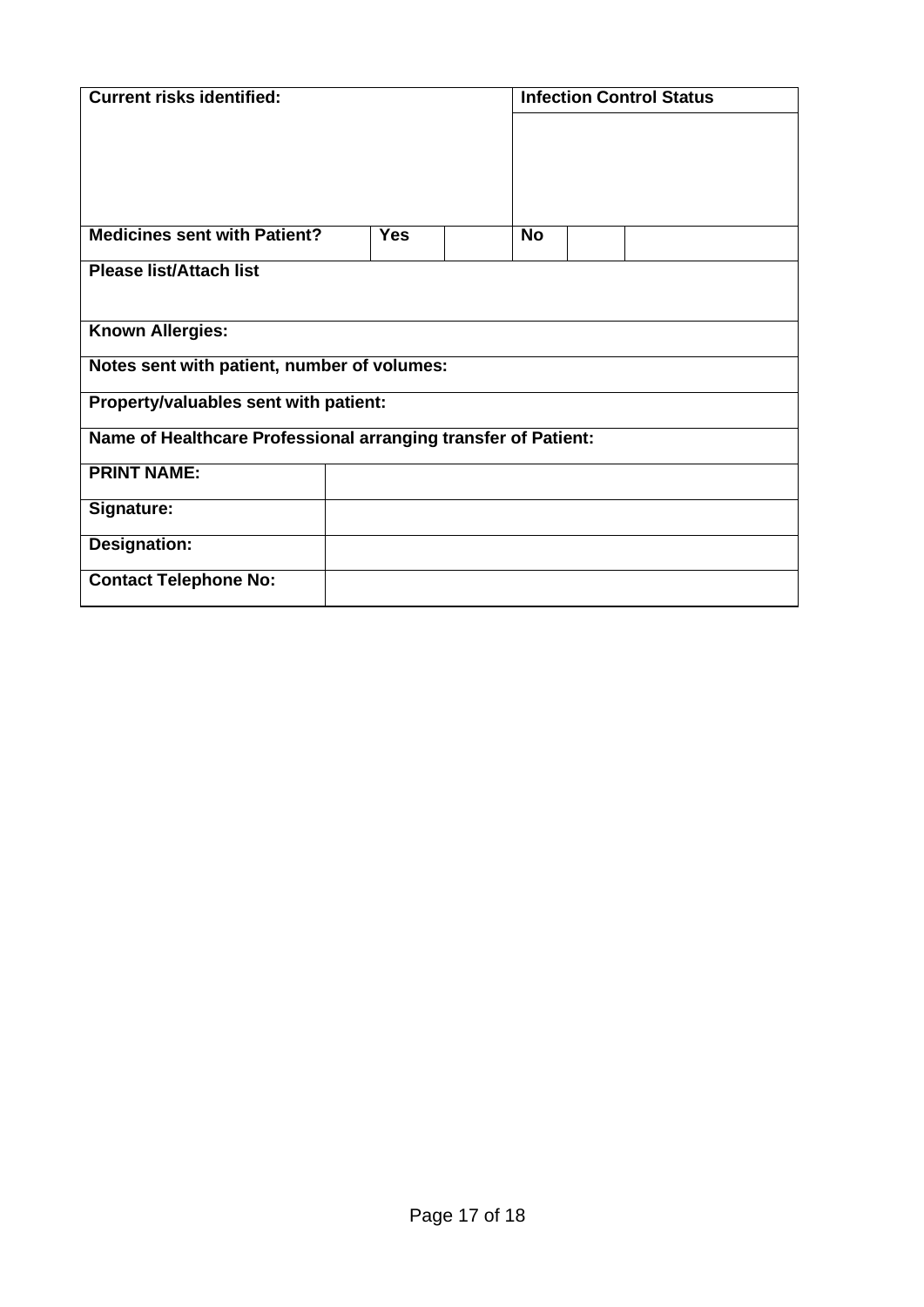| <b>Current risks identified:</b>                               |            |  | <b>Infection Control Status</b> |  |  |  |
|----------------------------------------------------------------|------------|--|---------------------------------|--|--|--|
|                                                                |            |  |                                 |  |  |  |
|                                                                |            |  |                                 |  |  |  |
|                                                                |            |  |                                 |  |  |  |
|                                                                |            |  |                                 |  |  |  |
| <b>Medicines sent with Patient?</b>                            | <b>Yes</b> |  | <b>No</b>                       |  |  |  |
| <b>Please list/Attach list</b>                                 |            |  |                                 |  |  |  |
|                                                                |            |  |                                 |  |  |  |
| <b>Known Allergies:</b>                                        |            |  |                                 |  |  |  |
| Notes sent with patient, number of volumes:                    |            |  |                                 |  |  |  |
| Property/valuables sent with patient:                          |            |  |                                 |  |  |  |
| Name of Healthcare Professional arranging transfer of Patient: |            |  |                                 |  |  |  |
| <b>PRINT NAME:</b>                                             |            |  |                                 |  |  |  |
| Signature:                                                     |            |  |                                 |  |  |  |
| <b>Designation:</b>                                            |            |  |                                 |  |  |  |
| <b>Contact Telephone No:</b>                                   |            |  |                                 |  |  |  |